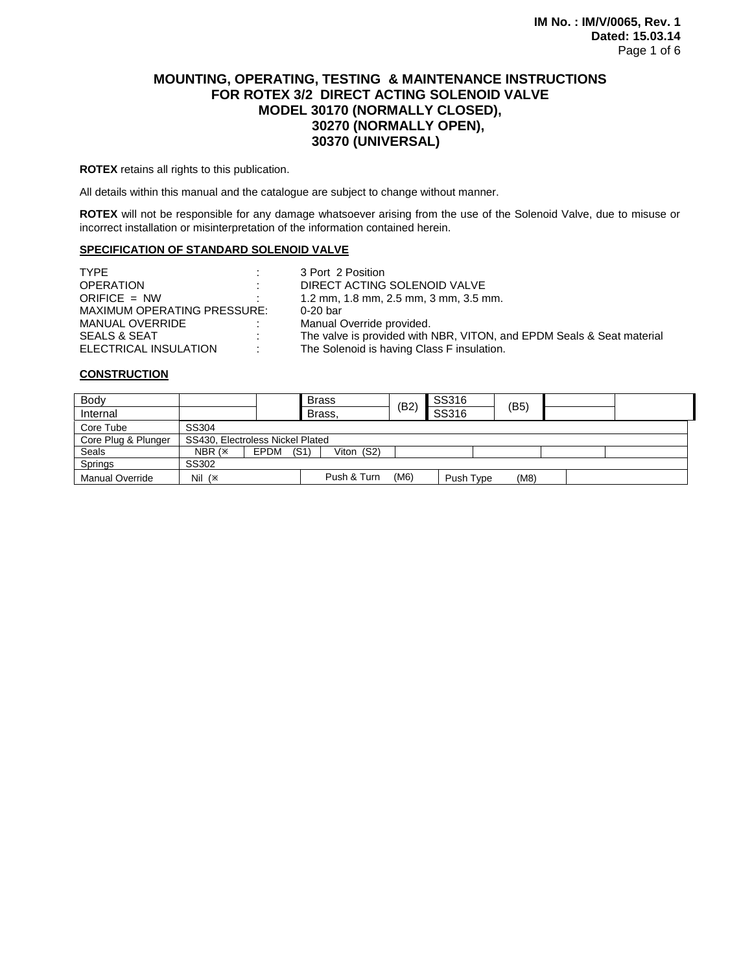# **MOUNTING, OPERATING, TESTING & MAINTENANCE INSTRUCTIONS FOR ROTEX 3/2 DIRECT ACTING SOLENOID VALVE MODEL 30170 (NORMALLY CLOSED), 30270 (NORMALLY OPEN), 30370 (UNIVERSAL)**

**ROTEX** retains all rights to this publication.

All details within this manual and the catalogue are subject to change without manner.

**ROTEX** will not be responsible for any damage whatsoever arising from the use of the Solenoid Valve, due to misuse or incorrect installation or misinterpretation of the information contained herein.

# **SPECIFICATION OF STANDARD SOLENOID VALVE**

| <b>TYPE</b>                 | 3 Port 2 Position                                                     |
|-----------------------------|-----------------------------------------------------------------------|
| <b>OPERATION</b>            | DIRECT ACTING SOLENOID VALVE                                          |
| ORIFICE $=$ NW              | 1.2 mm, 1.8 mm, 2.5 mm, 3 mm, 3.5 mm.                                 |
| MAXIMUM OPERATING PRESSURE: | $0-20$ bar                                                            |
| MANUAL OVERRIDE             | Manual Override provided.                                             |
| SEALS & SEAT                | The valve is provided with NBR, VITON, and EPDM Seals & Seat material |
| ELECTRICAL INSULATION       | The Solenoid is having Class F insulation.                            |

### **CONSTRUCTION**

| Body                   |                                  |      | <b>Brass</b>       | (B2) | SS316     | (B5) |  |
|------------------------|----------------------------------|------|--------------------|------|-----------|------|--|
| Internal               |                                  |      | Brass,             |      | SS316     |      |  |
| Core Tube              | SS304                            |      |                    |      |           |      |  |
| Core Plug & Plunger    | SS430, Electroless Nickel Plated |      |                    |      |           |      |  |
| Seals                  | NBR (*                           | EPDM | Viton (S2)<br>(S1) |      |           |      |  |
| Springs                | SS302                            |      |                    |      |           |      |  |
| <b>Manual Override</b> | Nil $(x)$                        |      | Push & Turn        | (M6) | Push Type | (M8) |  |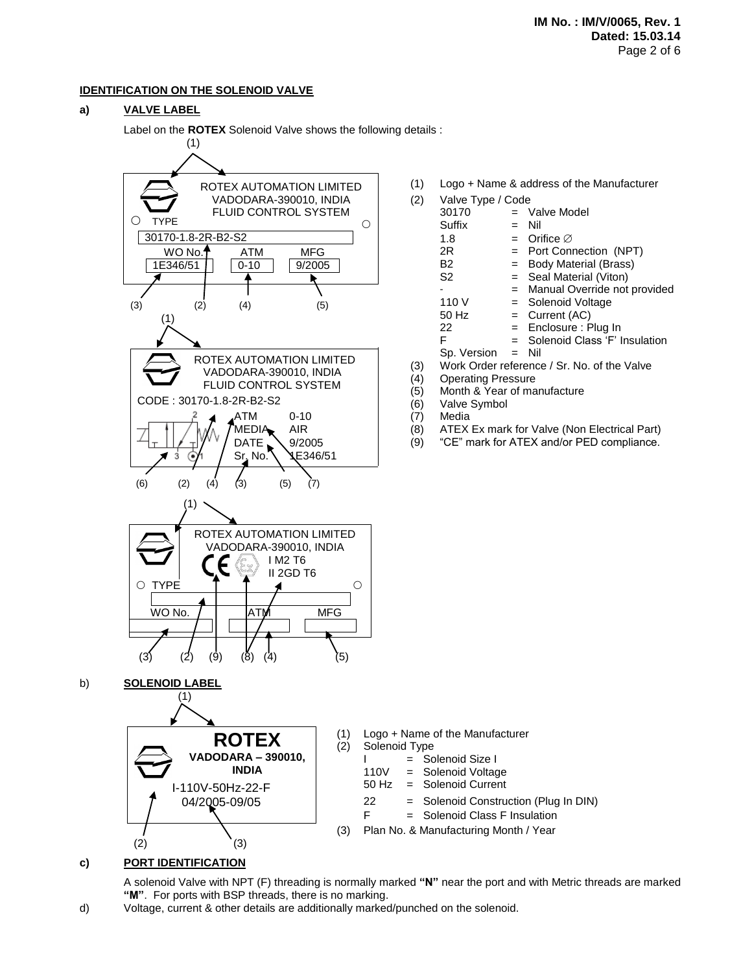# **IDENTIFICATION ON THE SOLENOID VALVE**

# **a) VALVE LABEL**

Label on the **ROTEX** Solenoid Valve shows the following details :



**c) PORT IDENTIFICATION**

A solenoid Valve with NPT (F) threading is normally marked **"N"** near the port and with Metric threads are marked **"M"**. For ports with BSP threads, there is no marking.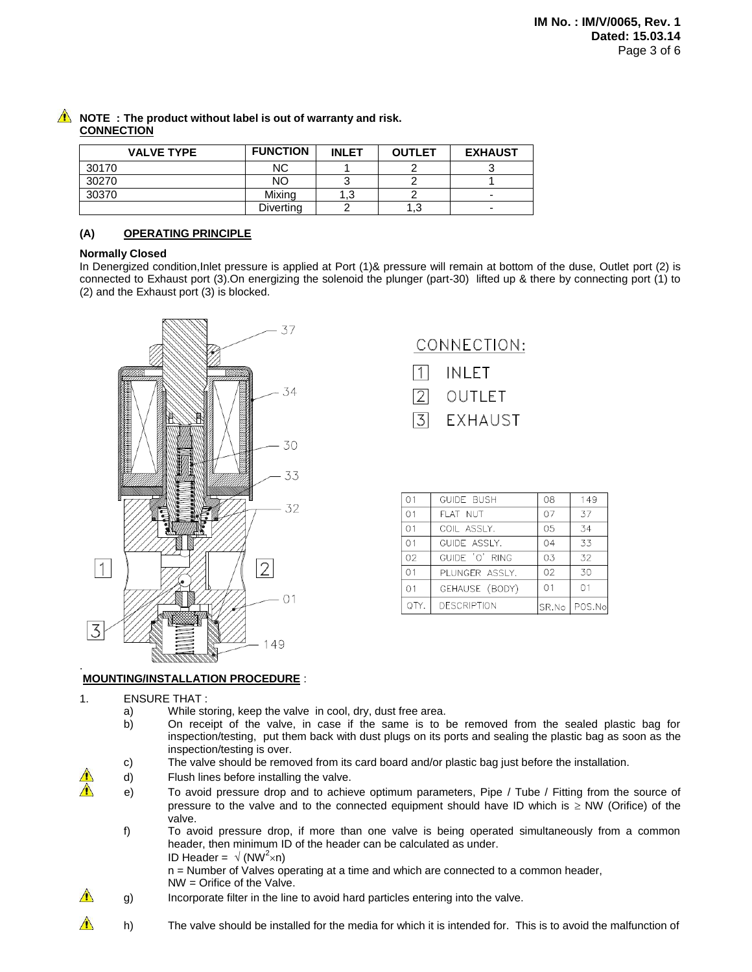| <b>VALVE TYPE</b> | <b>FUNCTION</b> | <b>INLET</b> | <b>OUTLET</b> | <b>EXHAUST</b>           |
|-------------------|-----------------|--------------|---------------|--------------------------|
| 30170             | <b>NC</b>       |              |               |                          |
| 30270             | NO              |              |               |                          |
| 30370             | Mixing          | د. ا         |               | -                        |
|                   | Diverting       |              | . 3. ،        | $\overline{\phantom{0}}$ |

# **NOTE : The product without label is out of warranty and risk. CONNECTION**

# **(A) OPERATING PRINCIPLE**

# **Normally Closed**

In Denergized condition,Inlet pressure is applied at Port (1)& pressure will remain at bottom of the duse, Outlet port (2) is connected to Exhaust port (3).On energizing the solenoid the plunger (part-30) lifted up & there by connecting port (1) to (2) and the Exhaust port (3) is blocked.



# CONNECTION:

- INLET
- $\sqrt{2}$ OUTLET
- 3 **EXHAUST**

| 01             | <b>GUIDE BUSH</b>  | 08 | 149            |
|----------------|--------------------|----|----------------|
| 01             | FLAT NUT           | 07 | 37             |
| 01             | COIL ASSLY.        | 05 | 34             |
| O <sub>1</sub> | GUIDE ASSLY.       | 04 | 33             |
| 02             | GUIDE 'O' RING     | 03 | 32             |
| 01             | PLUNGER ASSLY.     | 02 | 30             |
| 01             | GEHAUSE (BODY)     | 01 | 01             |
|                | <b>DESCRIPTION</b> |    | SR.No   POS.No |

#### . **MOUNTING/INSTALLATION PROCEDURE** :

- 1. ENSURE THAT :
	- a) While storing, keep the valve in cool, dry, dust free area.
	- b) On receipt of the valve, in case if the same is to be removed from the sealed plastic bag for inspection/testing, put them back with dust plugs on its ports and sealing the plastic bag as soon as the inspection/testing is over.
	- c) The valve should be removed from its card board and/or plastic bag just before the installation.
	- d) Flush lines before installing the valve.
		- e) To avoid pressure drop and to achieve optimum parameters, Pipe / Tube / Fitting from the source of pressure to the valve and to the connected equipment should have ID which is  $\geq$  NW (Orifice) of the valve.
			- f) To avoid pressure drop, if more than one valve is being operated simultaneously from a common header, then minimum ID of the header can be calculated as under. ID Header =  $\sqrt{(NW^2 \times n)}$

n = Number of Valves operating at a time and which are connected to a common header,

- NW = Orifice of the Valve.
- $\bigwedge$ g) Incorporate filter in the line to avoid hard particles entering into the valve.
- $\bigwedge$ h) The valve should be installed for the media for which it is intended for. This is to avoid the malfunction of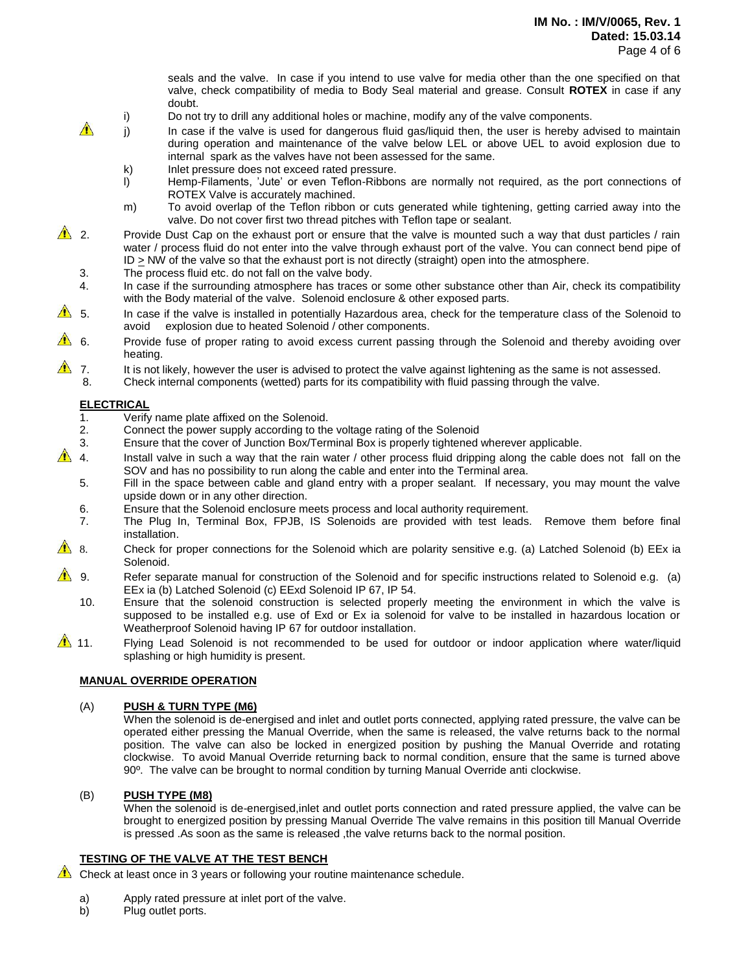seals and the valve. In case if you intend to use valve for media other than the one specified on that valve, check compatibility of media to Body Seal material and grease. Consult **ROTEX** in case if any doubt.

- i) Do not try to drill any additional holes or machine, modify any of the valve components.
- $\hat{A}$  i) In case if the valve is used for dangerous fluid gas/liquid then, the user is hereby advised to maintain during operation and maintenance of the valve below LEL or above UEL to avoid explosion due to internal spark as the valves have not been assessed for the same.
	- k) Inlet pressure does not exceed rated pressure.
	- l) Hemp-Filaments, "Jute" or even Teflon-Ribbons are normally not required, as the port connections of ROTEX Valve is accurately machined.
	- m) To avoid overlap of the Teflon ribbon or cuts generated while tightening, getting carried away into the valve. Do not cover first two thread pitches with Teflon tape or sealant.
- 2. Provide Dust Cap on the exhaust port or ensure that the valve is mounted such a way that dust particles / rain water / process fluid do not enter into the valve through exhaust port of the valve. You can connect bend pipe of  $ID \geq NW$  of the valve so that the exhaust port is not directly (straight) open into the atmosphere.
	- 3. The process fluid etc. do not fall on the valve body.
	- 4. In case if the surrounding atmosphere has traces or some other substance other than Air, check its compatibility with the Body material of the valve. Solenoid enclosure & other exposed parts.
- $\triangle$  5. In case if the valve is installed in potentially Hazardous area, check for the temperature class of the Solenoid to avoid explosion due to heated Solenoid / other components.
- $\triangle$  6. Provide fuse of proper rating to avoid excess current passing through the Solenoid and thereby avoiding over heating.
- $\triangle$  7. It is not likely, however the user is advised to protect the valve against lightening as the same is not assessed.
	- 8. Check internal components (wetted) parts for its compatibility with fluid passing through the valve.

# **ELECTRICAL**

- 1. Verify name plate affixed on the Solenoid.
- 2. Connect the power supply according to the voltage rating of the Solenoid
- 3. Ensure that the cover of Junction Box/Terminal Box is properly tightened wherever applicable.
- $\triangle$  4. Install valve in such a way that the rain water / other process fluid dripping along the cable does not fall on the SOV and has no possibility to run along the cable and enter into the Terminal area.
	- 5. Fill in the space between cable and gland entry with a proper sealant. If necessary, you may mount the valve upside down or in any other direction.
	- 6. Ensure that the Solenoid enclosure meets process and local authority requirement.
	- 7. The Plug In, Terminal Box, FPJB, IS Solenoids are provided with test leads. Remove them before final installation.
- 8. Check for proper connections for the Solenoid which are polarity sensitive e.g. (a) Latched Solenoid (b) EEx ia Solenoid.
- $\bigwedge$  9. Refer separate manual for construction of the Solenoid and for specific instructions related to Solenoid e.g. (a) EEx ia (b) Latched Solenoid (c) EExd Solenoid IP 67, IP 54.
	- 10. Ensure that the solenoid construction is selected properly meeting the environment in which the valve is supposed to be installed e.g. use of Exd or Ex ia solenoid for valve to be installed in hazardous location or Weatherproof Solenoid having IP 67 for outdoor installation.
- 11. Flying Lead Solenoid is not recommended to be used for outdoor or indoor application where water/liquid splashing or high humidity is present.

### **MANUAL OVERRIDE OPERATION**

#### (A) **PUSH & TURN TYPE (M6)**

When the solenoid is de-energised and inlet and outlet ports connected, applying rated pressure, the valve can be operated either pressing the Manual Override, when the same is released, the valve returns back to the normal position. The valve can also be locked in energized position by pushing the Manual Override and rotating clockwise. To avoid Manual Override returning back to normal condition, ensure that the same is turned above 90º. The valve can be brought to normal condition by turning Manual Override anti clockwise.

# (B) **PUSH TYPE (M8)**

When the solenoid is de-energised,inlet and outlet ports connection and rated pressure applied, the valve can be brought to energized position by pressing Manual Override The valve remains in this position till Manual Override is pressed .As soon as the same is released ,the valve returns back to the normal position.

# **TESTING OF THE VALVE AT THE TEST BENCH**

 $\triangle$  Check at least once in 3 years or following your routine maintenance schedule.

- a) Apply rated pressure at inlet port of the valve.
- b) Plug outlet ports.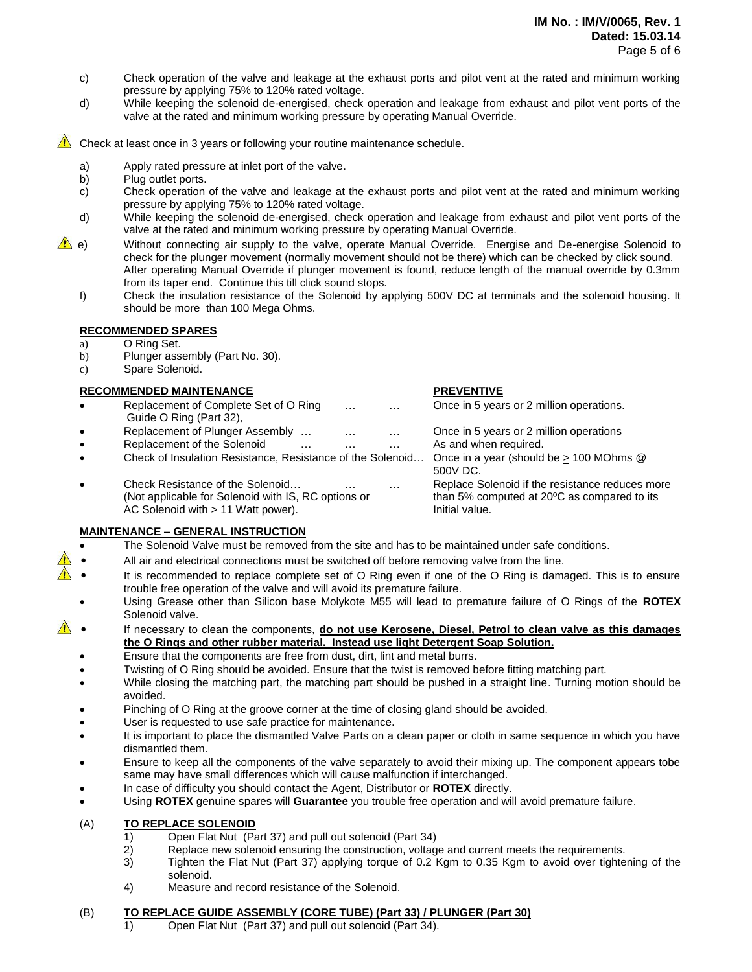- c) Check operation of the valve and leakage at the exhaust ports and pilot vent at the rated and minimum working pressure by applying 75% to 120% rated voltage.
- d) While keeping the solenoid de-energised, check operation and leakage from exhaust and pilot vent ports of the valve at the rated and minimum working pressure by operating Manual Override.

 $\triangle$  Check at least once in 3 years or following your routine maintenance schedule.

- a) Apply rated pressure at inlet port of the valve.
- b) Plug outlet ports.
- c) Check operation of the valve and leakage at the exhaust ports and pilot vent at the rated and minimum working pressure by applying 75% to 120% rated voltage.
- d) While keeping the solenoid de-energised, check operation and leakage from exhaust and pilot vent ports of the valve at the rated and minimum working pressure by operating Manual Override.
- e) Without connecting air supply to the valve, operate Manual Override. Energise and De-energise Solenoid to check for the plunger movement (normally movement should not be there) which can be checked by click sound. After operating Manual Override if plunger movement is found, reduce length of the manual override by 0.3mm from its taper end. Continue this till click sound stops.
	- f) Check the insulation resistance of the Solenoid by applying 500V DC at terminals and the solenoid housing. It should be more than 100 Mega Ohms.

# **RECOMMENDED SPARES**

# a) O Ring Set.

- b) Plunger assembly (Part No. 30).
- c) Spare Solenoid.

# **RECOMMENDED MAINTENANCE PREVENTIVE**

- Replacement of Complete Set of O Ring ... . ... ... Once in 5 years or 2 million operations.
- Guide O Ring (Part 32),
- Replacement of Plunger Assembly ... ... ... ... Once in 5 years or 2 million operations
- Replacement of the Solenoid … … … … As and when required.
- Check of Insulation Resistance, Resistance of the Solenoid... Once in a year (should be  $\geq 100$  MOhms @
- Check Resistance of the Solenoid… … … Replace Solenoid if the resistance reduces more (Not applicable for Solenoid with IS, RC options or than 5% computed at 20ºC as compared to its AC Solenoid with  $\geq 11$  Watt power). Initial value.

# **MAINTENANCE – GENERAL INSTRUCTION**

- The Solenoid Valve must be removed from the site and has to be maintained under safe conditions.
- All air and electrical connections must be switched off before removing valve from the line.
- **If**  It is recommended to replace complete set of O Ring even if one of the O Ring is damaged. This is to ensure trouble free operation of the valve and will avoid its premature failure.
- Using Grease other than Silicon base Molykote M55 will lead to premature failure of O Rings of the **ROTEX** Solenoid valve.
- **1** If necessary to clean the components, do not use Kerosene, Diesel, Petrol to clean valve as this damages **the O Rings and other rubber material. Instead use light Detergent Soap Solution.**
	- Ensure that the components are free from dust, dirt, lint and metal burrs.
	- Twisting of O Ring should be avoided. Ensure that the twist is removed before fitting matching part.
	- While closing the matching part, the matching part should be pushed in a straight line. Turning motion should be avoided.
	- Pinching of O Ring at the groove corner at the time of closing gland should be avoided.
	- User is requested to use safe practice for maintenance.
	- It is important to place the dismantled Valve Parts on a clean paper or cloth in same sequence in which you have dismantled them.
	- Ensure to keep all the components of the valve separately to avoid their mixing up. The component appears tobe same may have small differences which will cause malfunction if interchanged.
	- In case of difficulty you should contact the Agent, Distributor or **ROTEX** directly.
	- Using **ROTEX** genuine spares will **Guarantee** you trouble free operation and will avoid premature failure.

# (A) **TO REPLACE SOLENOID**

- 1) Open Flat Nut (Part 37) and pull out solenoid (Part 34)
- 2) Replace new solenoid ensuring the construction, voltage and current meets the requirements.
- 3) Tighten the Flat Nut (Part 37) applying torque of 0.2 Kgm to 0.35 Kgm to avoid over tightening of the solenoid.
- 4) Measure and record resistance of the Solenoid.

# (B) **TO REPLACE GUIDE ASSEMBLY (CORE TUBE) (Part 33) / PLUNGER (Part 30)**

1) Open Flat Nut (Part 37) and pull out solenoid (Part 34).

500V DC.